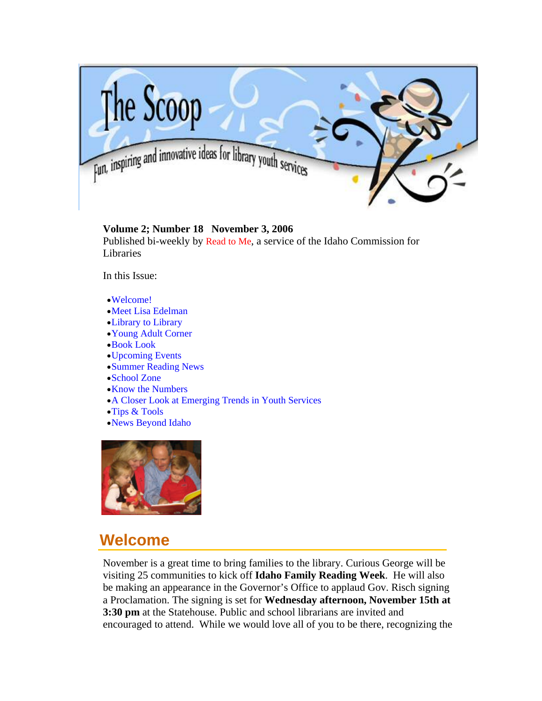<span id="page-0-0"></span>

## **Volume 2; Number 18 November 3, 2006**

Published bi-weekly by [Read to Me,](http://libraries.idaho.gov/readtome) a service of the Idaho Commission for Libraries

In this Issue:

- •[Welcome!](#page-0-0)
- •[Meet Lisa Edelman](#page-1-0)
- •[Library to Library](#page-3-0)
- •[Young Adult Corner](#page-4-0)
- •[Book Look](#page-6-0)
- •[Upcoming Events](#page-8-0)
- •[Summer Reading News](#page-11-0)
- •[School Zone](#page-13-0)
- •[Know the Numbers](#page-14-0)
- •[A Closer Look at Emerging Trends in Youth Services](#page-14-0)
- •[Tips & Tools](#page-16-0)
- •[News Beyond Idaho](#page-17-0)



# **Welcome**

November is a great time to bring families to the library. Curious George will be visiting 25 communities to kick off **Idaho Family Reading Week**. He will also be making an appearance in the Governor's Office to applaud Gov. Risch signing a Proclamation. The signing is set for **Wednesday afternoon, November 15th at 3:30 pm** at the Statehouse. Public and school librarians are invited and encouraged to attend. While we would love all of you to be there, recognizing the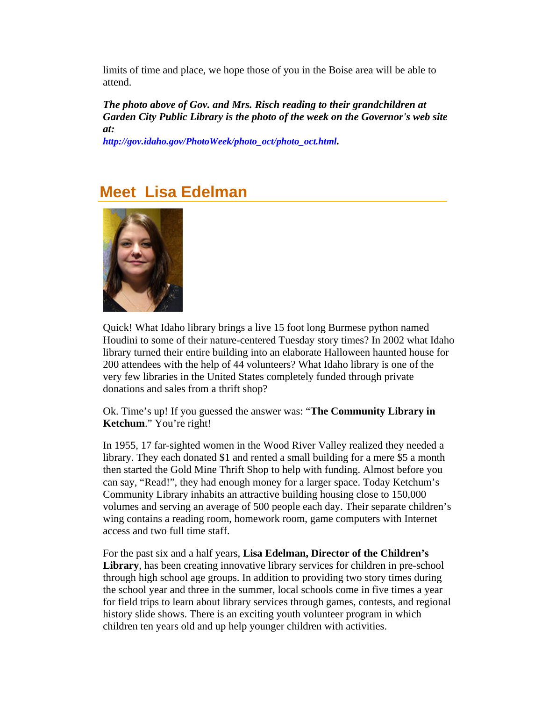<span id="page-1-0"></span>limits of time and place, we hope those of you in the Boise area will be able to attend.

*The photo above of Gov. and Mrs. Risch reading to their grandchildren at Garden City Public Library is the photo of the week on the Governor's web site at:*

*[http://gov.idaho.gov/PhotoWeek/photo\\_oct/photo\\_oct.html.](http://gov.idaho.gov/PhotoWeek/photo_oct/photo_oct.html)*

## **Meet Lisa Edelman**



Quick! What Idaho library brings a live 15 foot long Burmese python named Houdini to some of their nature-centered Tuesday story times? In 2002 what Idaho library turned their entire building into an elaborate Halloween haunted house for 200 attendees with the help of 44 volunteers? What Idaho library is one of the very few libraries in the United States completely funded through private donations and sales from a thrift shop?

Ok. Time's up! If you guessed the answer was: "**The Community Library in Ketchum**." You're right!

In 1955, 17 far-sighted women in the Wood River Valley realized they needed a library. They each donated \$1 and rented a small building for a mere \$5 a month then started the Gold Mine Thrift Shop to help with funding. Almost before you can say, "Read!", they had enough money for a larger space. Today Ketchum's Community Library inhabits an attractive building housing close to 150,000 volumes and serving an average of 500 people each day. Their separate children's wing contains a reading room, homework room, game computers with Internet access and two full time staff.

For the past six and a half years, **Lisa Edelman, Director of the Children's Library**, has been creating innovative library services for children in pre-school through high school age groups. In addition to providing two story times during the school year and three in the summer, local schools come in five times a year for field trips to learn about library services through games, contests, and regional history slide shows. There is an exciting youth volunteer program in which children ten years old and up help younger children with activities.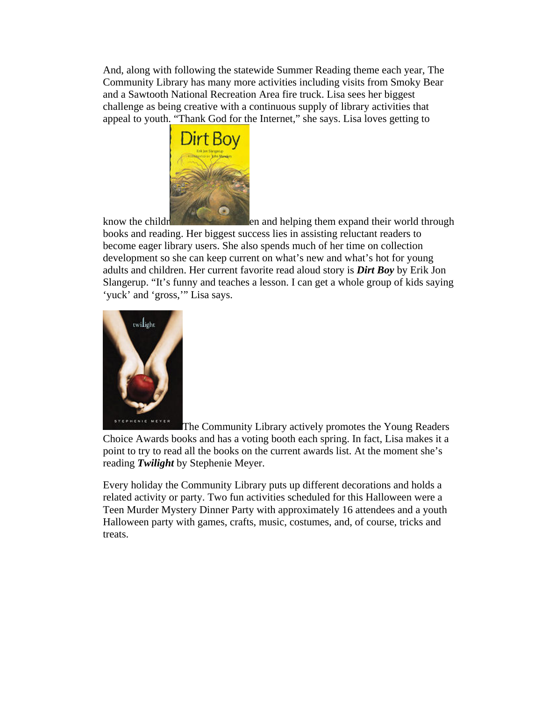And, along with following the statewide Summer Reading theme each year, The Community Library has many more activities including visits from Smoky Bear and a Sawtooth National Recreation Area fire truck. Lisa sees her biggest challenge as being creative with a continuous supply of library activities that appeal to youth. "Thank God for the Internet," she says. Lisa loves getting to



know the childr en and helping them expand their world through books and reading. Her biggest success lies in assisting reluctant readers to become eager library users. She also spends much of her time on collection development so she can keep current on what's new and what's hot for young adults and children. Her current favorite read aloud story is *Dirt Boy* by Erik Jon Slangerup. "It's funny and teaches a lesson. I can get a whole group of kids saying 'yuck' and 'gross,'" Lisa says.



The Community Library actively promotes the Young Readers Choice Awards books and has a voting booth each spring. In fact, Lisa makes it a point to try to read all the books on the current awards list. At the moment she's reading *Twilight* by Stephenie Meyer.

Every holiday the Community Library puts up different decorations and holds a related activity or party. Two fun activities scheduled for this Halloween were a Teen Murder Mystery Dinner Party with approximately 16 attendees and a youth Halloween party with games, crafts, music, costumes, and, of course, tricks and treats.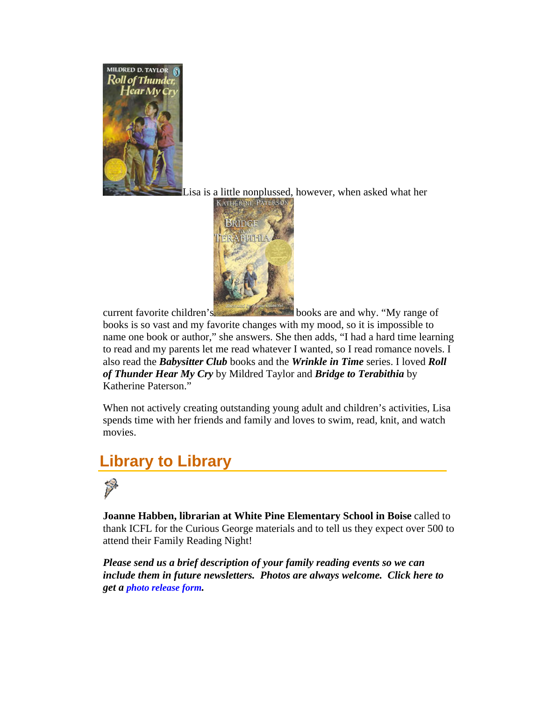<span id="page-3-0"></span>

Lisa is a little nonplussed, however, when asked what her



current favorite children's books are and why. "My range of

books is so vast and my favorite changes with my mood, so it is impossible to name one book or author," she answers. She then adds, "I had a hard time learning to read and my parents let me read whatever I wanted, so I read romance novels. I also read the *Babysitter Club* books and the *Wrinkle in Time* series. I loved *Roll of Thunder Hear My Cry* by Mildred Taylor and *Bridge to Terabithia* by Katherine Paterson."

When not actively creating outstanding young adult and children's activities, Lisa spends time with her friends and family and loves to swim, read, knit, and watch movies.

## **Library to Library**



**Joanne Habben, librarian at White Pine Elementary School in Boise** called to thank ICFL for the Curious George materials and to tell us they expect over 500 to attend their Family Reading Night!

*Please send us a brief description of your family reading events so we can include them in future newsletters. Photos are always welcome. Click here to get a [photo release form.](http://libraries.idaho.gov/files/default/photo-release.pdf)*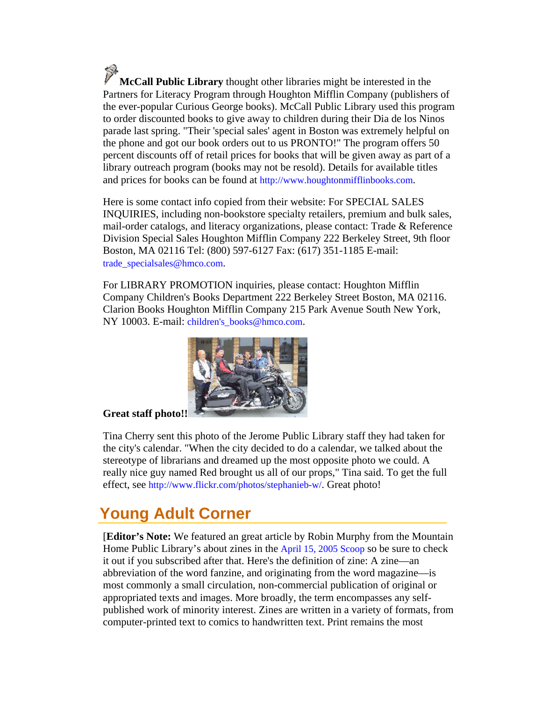<span id="page-4-0"></span>**McCall Public Library** thought other libraries might be interested in the Partners for Literacy Program through Houghton Mifflin Company (publishers of the ever-popular Curious George books). McCall Public Library used this program to order discounted books to give away to children during their Dia de los Ninos parade last spring. "Their 'special sales' agent in Boston was extremely helpful on the phone and got our book orders out to us PRONTO!" The program offers 50 percent discounts off of retail prices for books that will be given away as part of a library outreach program (books may not be resold). Details for available titles and prices for books can be found at [http://www.houghtonmifflinbooks.com.](http://www.houghtonmifflinbooks.com/)

Here is some contact info copied from their website: For SPECIAL SALES INQUIRIES, including non-bookstore specialty retailers, premium and bulk sales, mail-order catalogs, and literacy organizations, please contact: Trade & Reference Division Special Sales Houghton Mifflin Company 222 Berkeley Street, 9th floor Boston, MA 02116 Tel: (800) 597-6127 Fax: (617) 351-1185 E-mail: [trade\\_specialsales@hmco.com.](mailto:trade_specialsales@hmco.com)

For LIBRARY PROMOTION inquiries, please contact: Houghton Mifflin Company Children's Books Department 222 Berkeley Street Boston, MA 02116. Clarion Books Houghton Mifflin Company 215 Park Avenue South New York, NY 10003. E-mail: children's books@hmco.com.



### **Great staff photo!!**

Tina Cherry sent this photo of the Jerome Public Library staff they had taken for the city's calendar. "When the city decided to do a calendar, we talked about the stereotype of librarians and dreamed up the most opposite photo we could. A really nice guy named Red brought us all of our props," Tina said. To get the full effect, see [http://www.flickr.com/photos/stephanieb-w/.](http://www.flickr.com/photos/stephanieb-w/) Great photo!

## **Young Adult Corner**

[**Editor's Note:** We featured an great article by Robin Murphy from the Mountain Home Public Library's about zines in the [April 15, 2005 Scoop](http://libraries.idaho.gov/files/default/aprl1505.pdf) so be sure to check it out if you subscribed after that. Here's the definition of zine: A zine—an abbreviation of the word fanzine, and originating from the word magazine—is most commonly a small circulation, non-commercial publication of original or appropriated texts and images. More broadly, the term encompasses any selfpublished work of minority interest. Zines are written in a variety of formats, from computer-printed text to comics to handwritten text. Print remains the most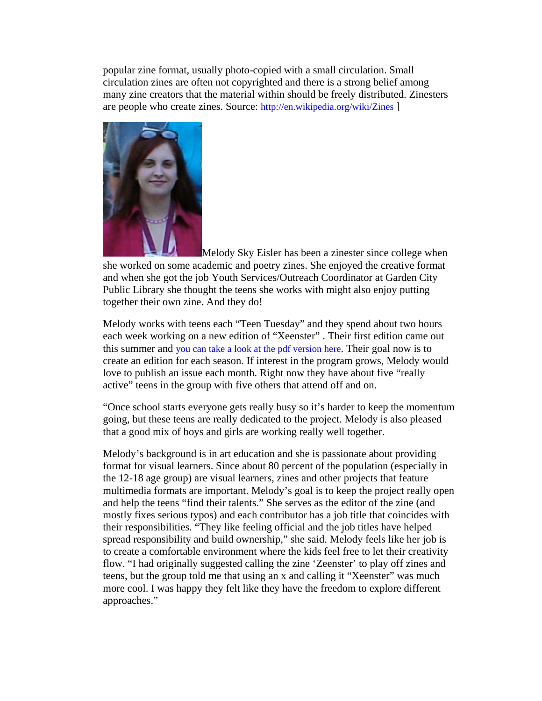popular zine format, usually photo-copied with a small circulation. Small circulation zines are often not copyrighted and there is a strong belief among many zine creators that the material within should be freely distributed. Zinesters are people who create zines. Source: <http://en.wikipedia.org/wiki/Zines>]



Melody Sky Eisler has been a zinester since college when she worked on some academic and poetry zines. She enjoyed the creative format and when she got the job Youth Services/Outreach Coordinator at Garden City Public Library she thought the teens she works with might also enjoy putting together their own zine. And they do!

Melody works with teens each "Teen Tuesday" and they spend about two hours each week working on a new edition of "Xeenster" . Their first edition came out this summer and [you can take a look at the pdf version here](http://www.islscoop.org/scoop/materials/xeenage.pdf). Their goal now is to create an edition for each season. If interest in the program grows, Melody would love to publish an issue each month. Right now they have about five "really active" teens in the group with five others that attend off and on.

"Once school starts everyone gets really busy so it's harder to keep the momentum going, but these teens are really dedicated to the project. Melody is also pleased that a good mix of boys and girls are working really well together.

Melody's background is in art education and she is passionate about providing format for visual learners. Since about 80 percent of the population (especially in the 12-18 age group) are visual learners, zines and other projects that feature multimedia formats are important. Melody's goal is to keep the project really open and help the teens "find their talents." She serves as the editor of the zine (and mostly fixes serious typos) and each contributor has a job title that coincides with their responsibilities. "They like feeling official and the job titles have helped spread responsibility and build ownership," she said. Melody feels like her job is to create a comfortable environment where the kids feel free to let their creativity flow. "I had originally suggested calling the zine 'Zeenster' to play off zines and teens, but the group told me that using an x and calling it "Xeenster" was much more cool. I was happy they felt like they have the freedom to explore different approaches."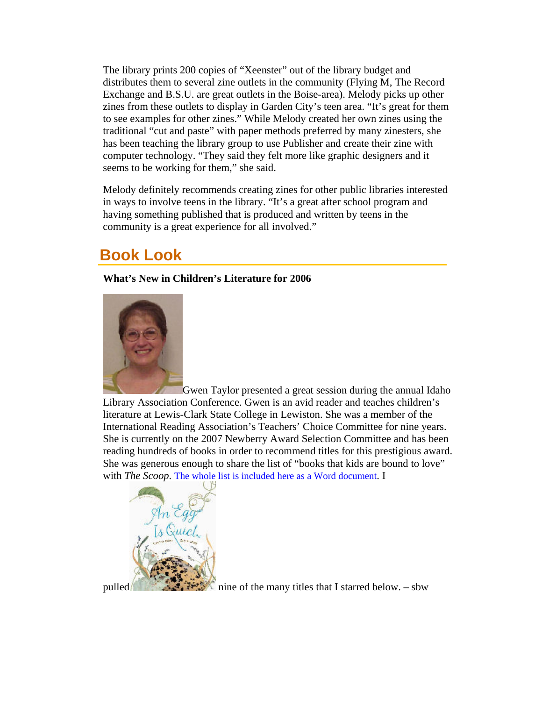<span id="page-6-0"></span>The library prints 200 copies of "Xeenster" out of the library budget and distributes them to several zine outlets in the community (Flying M, The Record Exchange and B.S.U. are great outlets in the Boise-area). Melody picks up other zines from these outlets to display in Garden City's teen area. "It's great for them to see examples for other zines." While Melody created her own zines using the traditional "cut and paste" with paper methods preferred by many zinesters, she has been teaching the library group to use Publisher and create their zine with computer technology. "They said they felt more like graphic designers and it seems to be working for them," she said.

Melody definitely recommends creating zines for other public libraries interested in ways to involve teens in the library. "It's a great after school program and having something published that is produced and written by teens in the community is a great experience for all involved."

## **Book Look**

**What's New in Children's Literature for 2006** 



Gwen Taylor presented a great session during the annual Idaho Library Association Conference. Gwen is an avid reader and teaches children's literature at Lewis-Clark State College in Lewiston. She was a member of the International Reading Association's Teachers' Choice Committee for nine years. She is currently on the 2007 Newberry Award Selection Committee and has been reading hundreds of books in order to recommend titles for this prestigious award. She was generous enough to share the list of "books that kids are bound to love" with *The Scoop*. [The whole list is included here as a Word document.](http://www.islscoop.org/scoop/materials/ilabooklist-06.doc) I



pulled nine of the many titles that I starred below. – sbw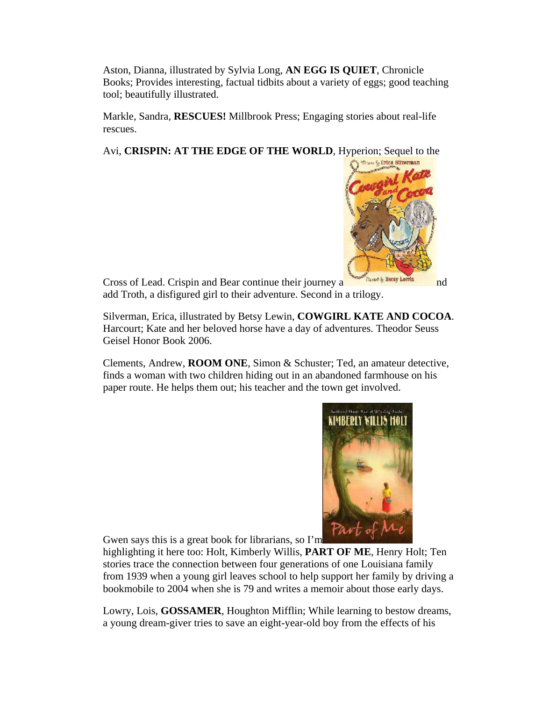Aston, Dianna, illustrated by Sylvia Long, AN EGG IS QUIET, Chronicle Books; Provides interesting, factual tidbits about a variety of eggs; good teaching tool; beautifully illustrated.

Markle, Sandra, **RESCUES!** Millbrook Press; Engaging stories about real-life rescues.

Avi, **CRISPIN: AT THE EDGE OF THE WORLD**, Hyperion; Sequel to the



Cross of Lead. Crispin and Bear continue their journey a name is not also the line of not add Troth, a disfigured girl to their adventure. Second in a trilogy.

Silverman, Erica, illustrated by Betsy Lewin, **COWGIRL KATE AND COCOA**. Harcourt; Kate and her beloved horse have a day of adventures. Theodor Seuss Geisel Honor Book 2006.

Clements, Andrew, **ROOM ONE**, Simon & Schuster; Ted, an amateur detective, finds a woman with two children hiding out in an abandoned farmhouse on his paper route. He helps them out; his teacher and the town get involved.



Gwen says this is a great book for librarians, so I'm

highlighting it here too: Holt, Kimberly Willis, **PART OF ME**, Henry Holt; Ten stories trace the connection between four generations of one Louisiana family from 1939 when a young girl leaves school to help support her family by driving a bookmobile to 2004 when she is 79 and writes a memoir about those early days.

Lowry, Lois, **GOSSAMER**, Houghton Mifflin; While learning to bestow dreams, a young dream-giver tries to save an eight-year-old boy from the effects of his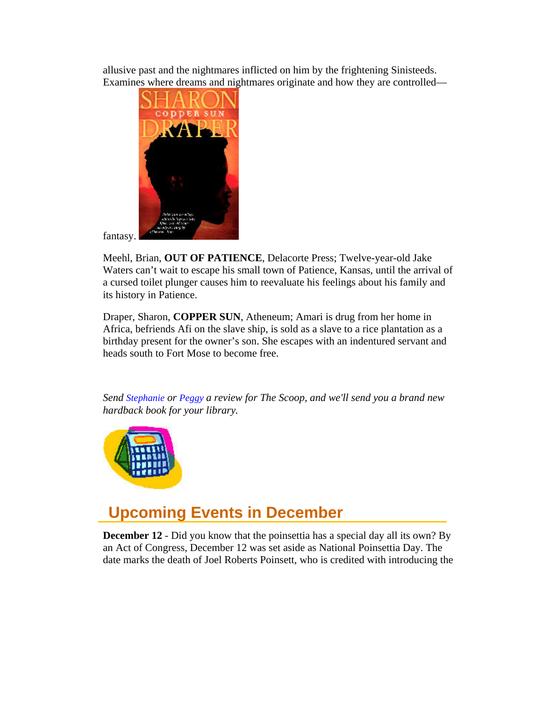<span id="page-8-0"></span>allusive past and the nightmares inflicted on him by the frightening Sinisteeds. Examines where dreams and nightmares originate and how they are controlled—



fantasy.

Meehl, Brian, **OUT OF PATIENCE**, Delacorte Press; Twelve-year-old Jake Waters can't wait to escape his small town of Patience, Kansas, until the arrival of a cursed toilet plunger causes him to reevaluate his feelings about his family and its history in Patience.

Draper, Sharon, **COPPER SUN**, Atheneum; Amari is drug from her home in Africa, befriends Afi on the slave ship, is sold as a slave to a rice plantation as a birthday present for the owner's son. She escapes with an indentured servant and heads south to Fort Mose to become free.

*Send [Stephanie](mailto:stephanie.bailey-white@libraries.idaho.gov) or [Peggy a](mailto:peggy.mcclendon@libraries.idaho.gov) review for The Scoop, and we'll send you a brand new hardback book for your library.*



## **Upcoming Events in December**

**December 12** - Did you know that the poinsettia has a special day all its own? By an Act of Congress, December 12 was set aside as National Poinsettia Day. The date marks the death of Joel Roberts Poinsett, who is credited with introducing the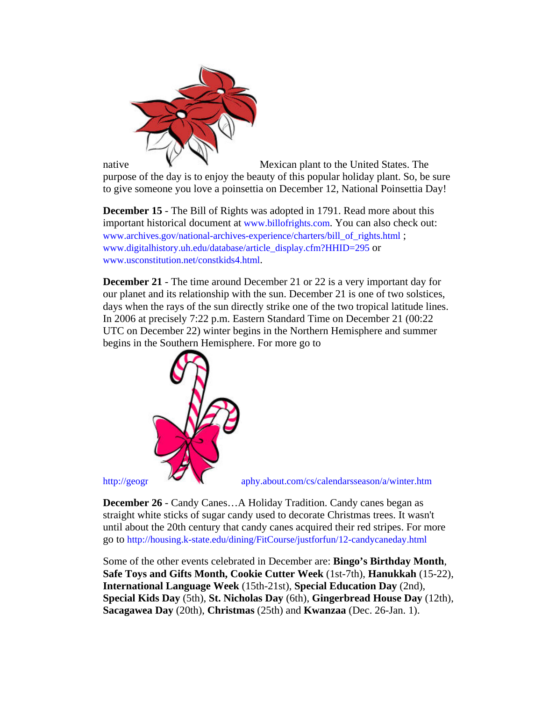

native **W** Mexican plant to the United States. The purpose of the day is to enjoy the beauty of this popular holiday plant. So, be sure to give someone you love a poinsettia on December 12, National Poinsettia Day!

**December 15** - The Bill of Rights was adopted in 1791. Read more about this important historical document at [www.billofrights.com.](http://www.billofrights.com/) You can also check out: [www.archives.gov/national-archives-experience/charters/bill\\_of\\_rights.html](http://www.archives.gov/national-archives-experience/charters/bill_of_rights.html) ; [www.digitalhistory.uh.edu/database/article\\_display.cfm?HHID=295](http://www.digitalhistory.uh.edu/database/article_display.cfm?HHID=295) or [www.usconstitution.net/constkids4.html.](http://www.usconstitution.net/constkids4.html)

**December 21** - The time around December 21 or 22 is a very important day for our planet and its relationship with the sun. December 21 is one of two solstices, days when the rays of the sun directly strike one of the two tropical latitude lines. In 2006 at precisely 7:22 p.m. Eastern Standard Time on December 21 (00:22 UTC on December 22) winter begins in the Northern Hemisphere and summer begins in the Southern Hemisphere. For more go to



[http://geogr](http://geography.about.com/cs/calendarsseason/a/winter.htm) [aphy.about.com/cs/calendarsseason/a/winter.htm](http://geography.about.com/cs/calendarsseason/a/winter.htm) 

**December 26** - Candy Canes…A Holiday Tradition. Candy canes began as straight white sticks of sugar candy used to decorate Christmas trees. It wasn't until about the 20th century that candy canes acquired their red stripes. For more go to <http://housing.k-state.edu/dining/FitCourse/justforfun/12-candycaneday.html>

Some of the other events celebrated in December are: **Bingo's Birthday Month**, **Safe Toys and Gifts Month, Cookie Cutter Week** (1st-7th), **Hanukkah** (15-22), **International Language Week** (15th-21st), **Special Education Day** (2nd), **Special Kids Day** (5th), **St. Nicholas Day** (6th), **Gingerbread House Day** (12th), **Sacagawea Day** (20th), **Christmas** (25th) and **Kwanzaa** (Dec. 26-Jan. 1).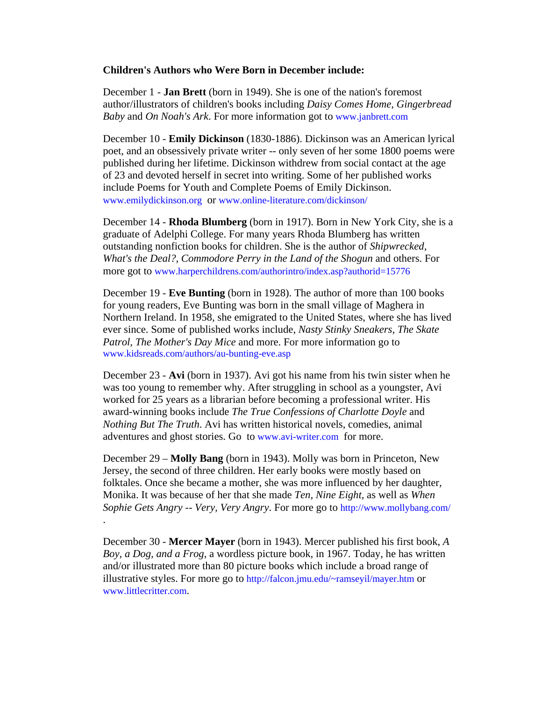#### **Children's Authors who Were Born in December include:**

December 1 - **Jan Brett** (born in 1949). She is one of the nation's foremost author/illustrators of children's books including *Daisy Comes Home, Gingerbread Baby* and *On Noah's Ark*. For more information got to [www.janbrett.com](http://www.janbrett.com/) 

December 10 - **Emily Dickinson** (1830-1886). Dickinson was an American lyrical poet, and an obsessively private writer -- only seven of her some 1800 poems were published during her lifetime. Dickinson withdrew from social contact at the age of 23 and devoted herself in secret into writing. Some of her published works include Poems for Youth and Complete Poems of Emily Dickinson. [www.emilydickinson.org](http://www.emilydickinson.org/) or [www.online-literature.com/dickinson/](http://www.online-literature.com/dickinson/)

December 14 - **Rhoda Blumberg** (born in 1917). Born in New York City, she is a graduate of Adelphi College. For many years Rhoda Blumberg has written outstanding nonfiction books for children. She is the author of *Shipwrecked, What's the Deal?, Commodore Perry in the Land of the Shogun* and others. For more got to [www.harperchildrens.com/authorintro/index.asp?authorid=15776](http://www.harperchildrens.com/authorintro/index.asp?authorid=15776) 

December 19 - **Eve Bunting** (born in 1928). The author of more than 100 books for young readers, Eve Bunting was born in the small village of Maghera in Northern Ireland. In 1958, she emigrated to the United States, where she has lived ever since. Some of published works include, *Nasty Stinky Sneakers, The Skate Patrol, The Mother's Day Mice* and more. For more information go to [www.kidsreads.com/authors/au-bunting-eve.asp](http://www.kidsreads.com/authors/au-bunting-eve.asp) 

December 23 - **Avi** (born in 1937). Avi got his name from his twin sister when he was too young to remember why. After struggling in school as a youngster, Avi worked for 25 years as a librarian before becoming a professional writer. His award-winning books include *The True Confessions of Charlotte Doyle* and *Nothing But The Truth*. Avi has written historical novels, comedies, animal adventures and ghost stories. Go to [www.avi-writer.com](http://www.avi-writer.com/) for more.

December 29 – **Molly Bang** (born in 1943). Molly was born in Princeton, New Jersey, the second of three children. Her early books were mostly based on folktales. Once she became a mother, she was more influenced by her daughter, Monika. It was because of her that she made *Ten, Nine Eight*, as well as *When Sophie Gets Angry -- Very, Very Angry*. For more go to <http://www.mollybang.com/> .

December 30 - **Mercer Mayer** (born in 1943). Mercer published his first book, *A Boy, a Dog, and a Frog*, a wordless picture book, in 1967. Today, he has written and/or illustrated more than 80 picture books which include a broad range of illustrative styles. For more go to [http://falcon.jmu.edu/~ramseyil/mayer.htm](http://falcon.jmu.edu/%7Eramseyil/mayer.htm) or [www.littlecritter.com.](http://www.littlecritter.com/)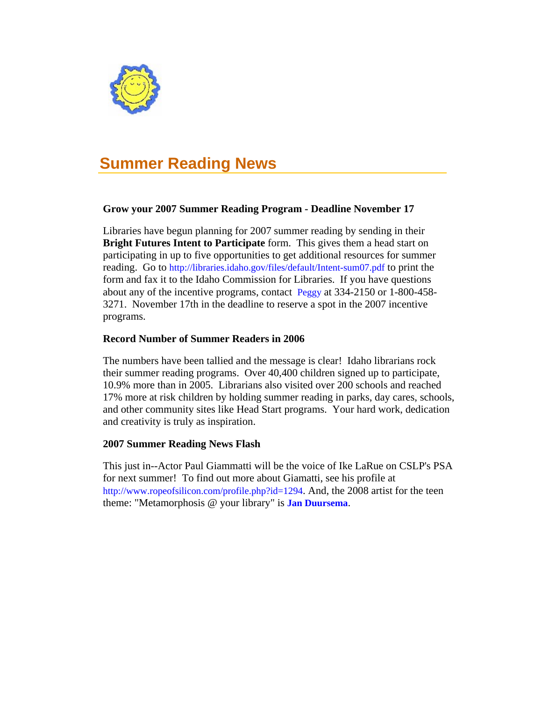<span id="page-11-0"></span>

# **Summer Reading News**

### **Grow your 2007 Summer Reading Program - Deadline November 17**

Libraries have begun planning for 2007 summer reading by sending in their **Bright Futures Intent to Participate** form. This gives them a head start on participating in up to five opportunities to get additional resources for summer reading. Go to<http://libraries.idaho.gov/files/default/Intent-sum07.pdf>to print the form and fax it to the Idaho Commission for Libraries. If you have questions about any of the incentive programs, contact [Peggy](mailto:peggy.mcclendon@libraries.idaho.gov) at 334-2150 or 1-800-458- 3271. November 17th in the deadline to reserve a spot in the 2007 incentive programs.

### **Record Number of Summer Readers in 2006**

The numbers have been tallied and the message is clear! Idaho librarians rock their summer reading programs. Over 40,400 children signed up to participate, 10.9% more than in 2005. Librarians also visited over 200 schools and reached 17% more at risk children by holding summer reading in parks, day cares, schools, and other community sites like Head Start programs. Your hard work, dedication and creativity is truly as inspiration.

#### **2007 Summer Reading News Flash**

This just in--Actor Paul Giammatti will be the voice of Ike LaRue on CSLP's PSA for next summer! To find out more about Giamatti, see his profile at <http://www.ropeofsilicon.com/profile.php?id=1294>. And, the 2008 artist for the teen theme: "Metamorphosis @ your library" is **[Jan Duursema](http://www.janduursema.com/)**.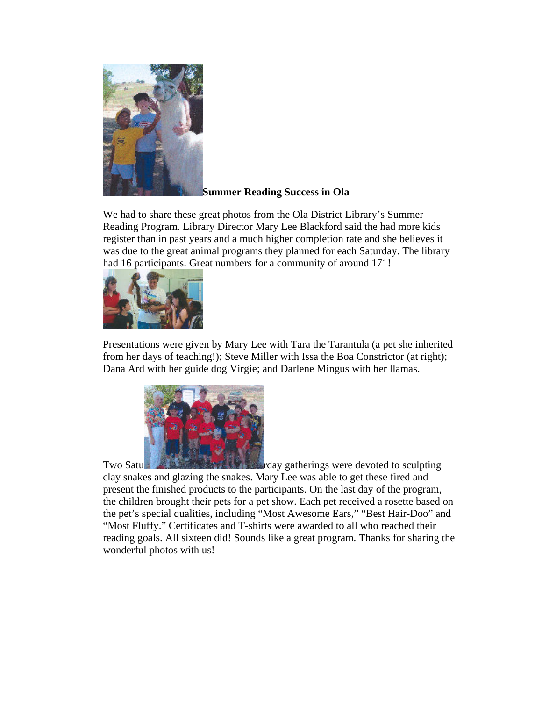

#### **Summer Reading Success in Ola**

We had to share these great photos from the Ola District Library's Summer Reading Program. Library Director Mary Lee Blackford said the had more kids register than in past years and a much higher completion rate and she believes it was due to the great animal programs they planned for each Saturday. The library had 16 participants. Great numbers for a community of around 171!



Presentations were given by Mary Lee with Tara the Tarantula (a pet she inherited from her days of teaching!); Steve Miller with Issa the Boa Constrictor (at right); Dana Ard with her guide dog Virgie; and Darlene Mingus with her llamas.



Two Satu **Report of the state of the state of the state of the state of the Saturday gatherings were devoted to sculpting** clay snakes and glazing the snakes. Mary Lee was able to get these fired and present the finished products to the participants. On the last day of the program, the children brought their pets for a pet show. Each pet received a rosette based on the pet's special qualities, including "Most Awesome Ears," "Best Hair-Doo" and "Most Fluffy." Certificates and T-shirts were awarded to all who reached their reading goals. All sixteen did! Sounds like a great program. Thanks for sharing the wonderful photos with us!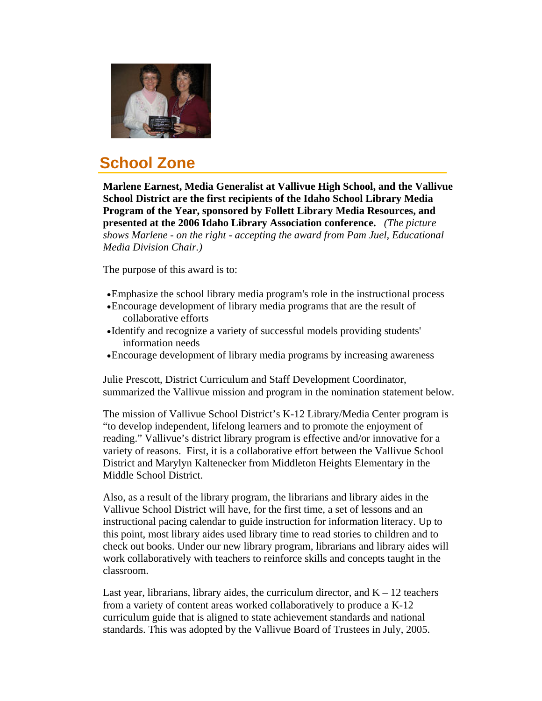<span id="page-13-0"></span>

# **School Zone**

**Marlene Earnest, Media Generalist at Vallivue High School, and the Vallivue School District are the first recipients of the Idaho School Library Media Program of the Year, sponsored by Follett Library Media Resources, and presented at the 2006 Idaho Library Association conference.** *(The picture shows Marlene - on the right - accepting the award from Pam Juel, Educational Media Division Chair.)*

The purpose of this award is to:

- •Emphasize the school library media program's role in the instructional process
- •Encourage development of library media programs that are the result of collaborative efforts
- •Identify and recognize a variety of successful models providing students' information needs
- •Encourage development of library media programs by increasing awareness

Julie Prescott, District Curriculum and Staff Development Coordinator, summarized the Vallivue mission and program in the nomination statement below.

The mission of Vallivue School District's K-12 Library/Media Center program is "to develop independent, lifelong learners and to promote the enjoyment of reading." Vallivue's district library program is effective and/or innovative for a variety of reasons. First, it is a collaborative effort between the Vallivue School District and Marylyn Kaltenecker from Middleton Heights Elementary in the Middle School District.

Also, as a result of the library program, the librarians and library aides in the Vallivue School District will have, for the first time, a set of lessons and an instructional pacing calendar to guide instruction for information literacy. Up to this point, most library aides used library time to read stories to children and to check out books. Under our new library program, librarians and library aides will work collaboratively with teachers to reinforce skills and concepts taught in the classroom.

Last year, librarians, library aides, the curriculum director, and  $K - 12$  teachers from a variety of content areas worked collaboratively to produce a K-12 curriculum guide that is aligned to state achievement standards and national standards. This was adopted by the Vallivue Board of Trustees in July, 2005.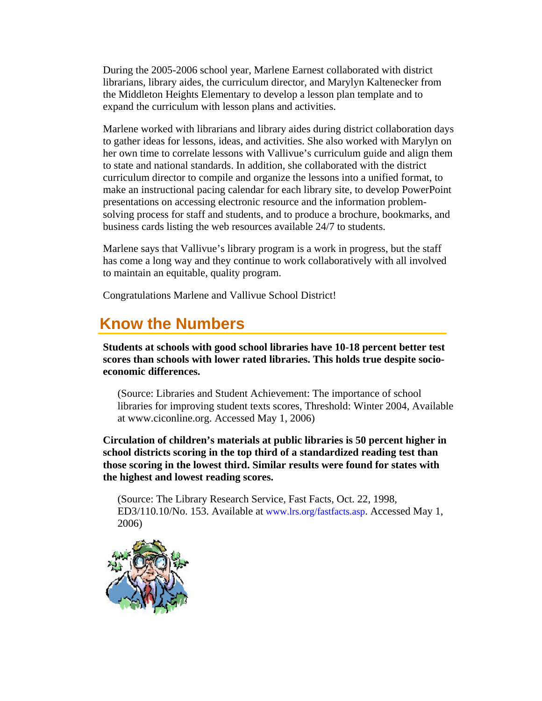<span id="page-14-0"></span>During the 2005-2006 school year, Marlene Earnest collaborated with district librarians, library aides, the curriculum director, and Marylyn Kaltenecker from the Middleton Heights Elementary to develop a lesson plan template and to expand the curriculum with lesson plans and activities.

Marlene worked with librarians and library aides during district collaboration days to gather ideas for lessons, ideas, and activities. She also worked with Marylyn on her own time to correlate lessons with Vallivue's curriculum guide and align them to state and national standards. In addition, she collaborated with the district curriculum director to compile and organize the lessons into a unified format, to make an instructional pacing calendar for each library site, to develop PowerPoint presentations on accessing electronic resource and the information problemsolving process for staff and students, and to produce a brochure, bookmarks, and business cards listing the web resources available 24/7 to students.

Marlene says that Vallivue's library program is a work in progress, but the staff has come a long way and they continue to work collaboratively with all involved to maintain an equitable, quality program.

Congratulations Marlene and Vallivue School District!

# **Know the Numbers**

**Students at schools with good school libraries have 10-18 percent better test scores than schools with lower rated libraries. This holds true despite socioeconomic differences.** 

(Source: Libraries and Student Achievement: The importance of school libraries for improving student texts scores, Threshold: Winter 2004, Available at www.ciconline.org. Accessed May 1, 2006)

**Circulation of children's materials at public libraries is 50 percent higher in school districts scoring in the top third of a standardized reading test than those scoring in the lowest third. Similar results were found for states with the highest and lowest reading scores.** 

(Source: The Library Research Service, Fast Facts, Oct. 22, 1998, ED3/110.10/No. 153. Available at [www.lrs.org/fastfacts.asp](http://www.lrs.org/fastfacts.asp). Accessed May 1, 2006)

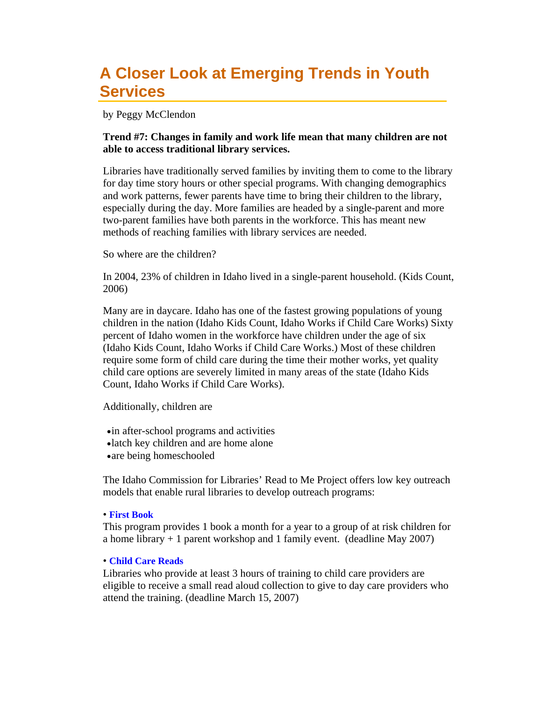## **A Closer Look at Emerging Trends in Youth Services**

by Peggy McClendon

### **Trend #7: Changes in family and work life mean that many children are not able to access traditional library services.**

Libraries have traditionally served families by inviting them to come to the library for day time story hours or other special programs. With changing demographics and work patterns, fewer parents have time to bring their children to the library, especially during the day. More families are headed by a single-parent and more two-parent families have both parents in the workforce. This has meant new methods of reaching families with library services are needed.

So where are the children?

In 2004, 23% of children in Idaho lived in a single-parent household. (Kids Count, 2006)

Many are in daycare. Idaho has one of the fastest growing populations of young children in the nation (Idaho Kids Count, Idaho Works if Child Care Works) Sixty percent of Idaho women in the workforce have children under the age of six (Idaho Kids Count, Idaho Works if Child Care Works.) Most of these children require some form of child care during the time their mother works, yet quality child care options are severely limited in many areas of the state (Idaho Kids Count, Idaho Works if Child Care Works).

Additionally, children are

- •in after-school programs and activities
- •latch key children and are home alone
- •are being homeschooled

The Idaho Commission for Libraries' Read to Me Project offers low key outreach models that enable rural libraries to develop outreach programs:

#### • **[First Book](http://libraries.idaho.gov/node/386)**

This program provides 1 book a month for a year to a group of at risk children for a home library  $+1$  parent workshop and 1 family event. (deadline May 2007)

#### • **[Child Care Reads](http://libraries.idaho.gov/node/368)**

Libraries who provide at least 3 hours of training to child care providers are eligible to receive a small read aloud collection to give to day care providers who attend the training. (deadline March 15, 2007)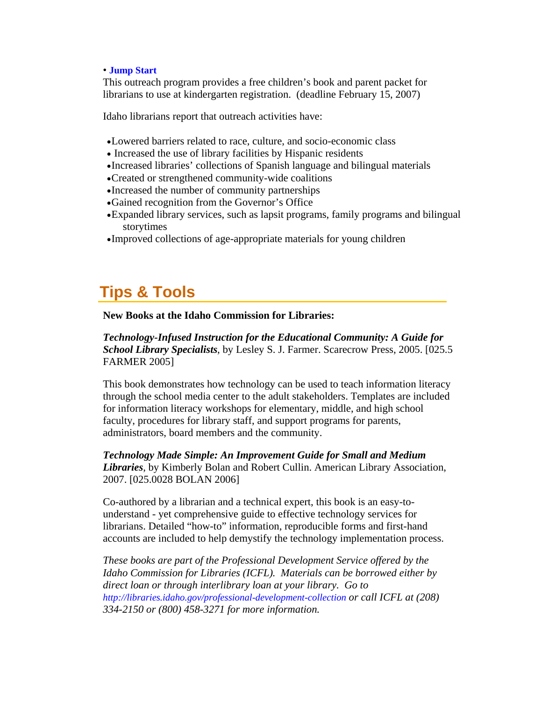#### <span id="page-16-0"></span>• **[Jump Start](http://www.lili.org/read/readtome/jumpstart.htm)**

This outreach program provides a free children's book and parent packet for librarians to use at kindergarten registration. (deadline February 15, 2007)

Idaho librarians report that outreach activities have:

- •Lowered barriers related to race, culture, and socio-economic class
- Increased the use of library facilities by Hispanic residents
- •Increased libraries' collections of Spanish language and bilingual materials
- •Created or strengthened community-wide coalitions
- •Increased the number of community partnerships
- •Gained recognition from the Governor's Office
- •Expanded library services, such as lapsit programs, family programs and bilingual storytimes
- •Improved collections of age-appropriate materials for young children

# **Tips & Tools**

#### **New Books at the Idaho Commission for Libraries:**

*Technology-Infused Instruction for the Educational Community: A Guide for School Library Specialists*, by Lesley S. J. Farmer. Scarecrow Press, 2005. [025.5 FARMER 2005]

This book demonstrates how technology can be used to teach information literacy through the school media center to the adult stakeholders. Templates are included for information literacy workshops for elementary, middle, and high school faculty, procedures for library staff, and support programs for parents, administrators, board members and the community.

*Technology Made Simple: An Improvement Guide for Small and Medium Libraries*, by Kimberly Bolan and Robert Cullin. American Library Association, 2007. [025.0028 BOLAN 2006]

Co-authored by a librarian and a technical expert, this book is an easy-tounderstand - yet comprehensive guide to effective technology services for librarians. Detailed "how-to" information, reproducible forms and first-hand accounts are included to help demystify the technology implementation process.

*These books are part of the Professional Development Service offered by the Idaho Commission for Libraries (ICFL). Materials can be borrowed either by direct loan or through interlibrary loan at your library. Go to <http://libraries.idaho.gov/professional-development-collection> or call ICFL at (208) 334-2150 or (800) 458-3271 for more information.*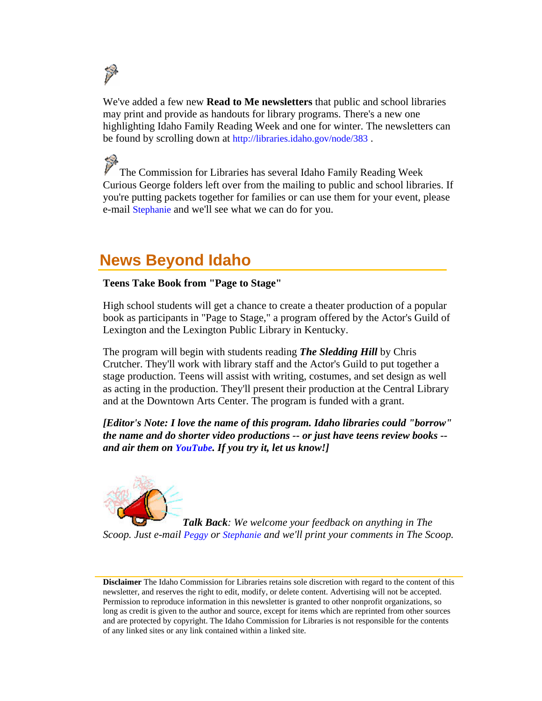<span id="page-17-0"></span>

We've added a few new **Read to Me newsletters** that public and school libraries may print and provide as handouts for library programs. There's a new one highlighting Idaho Family Reading Week and one for winter. The newsletters can be found by scrolling down at <http://libraries.idaho.gov/node/383>.

The Commission for Libraries has several Idaho Family Reading Week Curious George folders left over from the mailing to public and school libraries. If you're putting packets together for families or can use them for your event, please e-mail [Stephanie](mailto:stephanie.bailey-white@libraries.idaho.gov) and we'll see what we can do for you.

## **News Beyond Idaho**

### **Teens Take Book from "Page to Stage"**

High school students will get a chance to create a theater production of a popular book as participants in "Page to Stage," a program offered by the Actor's Guild of Lexington and the Lexington Public Library in Kentucky.

The program will begin with students reading *The Sledding Hill* by Chris Crutcher. They'll work with library staff and the Actor's Guild to put together a stage production. Teens will assist with writing, costumes, and set design as well as acting in the production. They'll present their production at the Central Library and at the Downtown Arts Center. The program is funded with a grant.

*[Editor's Note: I love the name of this program. Idaho libraries could "borrow" the name and do shorter video productions -- or just have teens review books - and air them on [YouTube.](http://www.youtube.com/) If you try it, let us know!]* 



*Talk Back: We welcome your feedback on anything in The Scoop. Just e-mail [Peggy](mailto:peggy.mcclendon@libraries.idaho.gov) or [Stephanie](mailto:stephanie.bailey-white@libraries.idaho.gov) and we'll print your comments in The Scoop.*

**Disclaimer** The Idaho Commission for Libraries retains sole discretion with regard to the content of this newsletter, and reserves the right to edit, modify, or delete content. Advertising will not be accepted. Permission to reproduce information in this newsletter is granted to other nonprofit organizations, so long as credit is given to the author and source, except for items which are reprinted from other sources and are protected by copyright. The Idaho Commission for Libraries is not responsible for the contents of any linked sites or any link contained within a linked site.